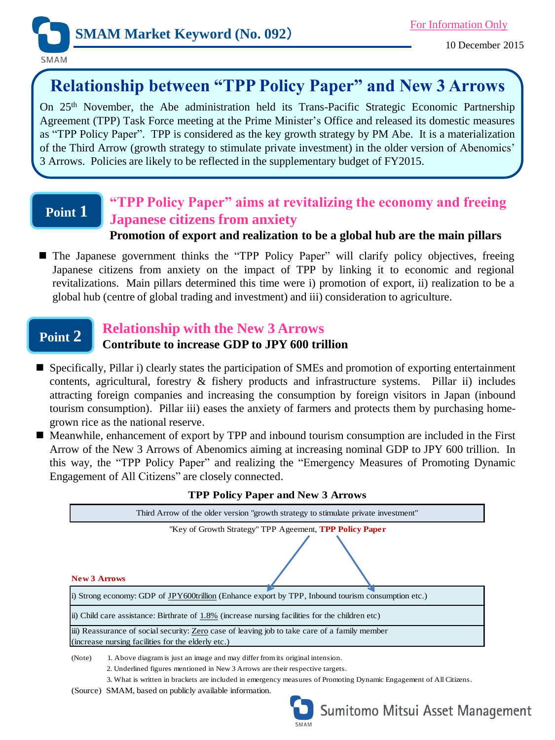

SMAM

# **Relationship between "TPP Policy Paper" and New 3 Arrows**

On 25th November, the Abe administration held its Trans-Pacific Strategic Economic Partnership Agreement (TPP) Task Force meeting at the Prime Minister's Office and released its domestic measures as "TPP Policy Paper". TPP is considered as the key growth strategy by PM Abe. It is a materialization of the Third Arrow (growth strategy to stimulate private investment) in the older version of Abenomics' 3 Arrows. Policies are likely to be reflected in the supplementary budget of FY2015.

## **Point 1**

## **"TPP Policy Paper" aims at revitalizing the economy and freeing Japanese citizens from anxiety**

### **Promotion of export and realization to be a global hub are the main pillars**

 The Japanese government thinks the "TPP Policy Paper" will clarify policy objectives, freeing Japanese citizens from anxiety on the impact of TPP by linking it to economic and regional revitalizations. Main pillars determined this time were i) promotion of export, ii) realization to be a global hub (centre of global trading and investment) and iii) consideration to agriculture.

## **Point 2**

### **Relationship with the New 3 Arrows**

### **Contribute to increase GDP to JPY 600 trillion**

- Specifically, Pillar i) clearly states the participation of SMEs and promotion of exporting entertainment contents, agricultural, forestry  $\&$  fishery products and infrastructure systems. Pillar ii) includes attracting foreign companies and increasing the consumption by foreign visitors in Japan (inbound tourism consumption). Pillar iii) eases the anxiety of farmers and protects them by purchasing homegrown rice as the national reserve.
- Meanwhile, enhancement of export by TPP and inbound tourism consumption are included in the First Arrow of the New 3 Arrows of Abenomics aiming at increasing nominal GDP to JPY 600 trillion. In this way, the "TPP Policy Paper" and realizing the "Emergency Measures of Promoting Dynamic Engagement of All Citizens" are closely connected.

| <b>III</b> I OIICY I APCI AND INCW 5 ALLOWS                                                                                                         |
|-----------------------------------------------------------------------------------------------------------------------------------------------------|
| Third Arrow of the older version "growth strategy to stimulate private investment"                                                                  |
| "Key of Growth Strategy" TPP Ageement, <b>TPP Policy Paper</b><br><b>New 3 Arrows</b>                                                               |
| i) Strong economy: GDP of JPY600trillion (Enhance export by TPP, Inbound tourism consumption etc.)                                                  |
| (ii) Child care assistance: Birthrate of 1.8% (increase nursing facilities for the children etc)                                                    |
| iii) Reassurance of social security: Zero case of leaving job to take care of a family member<br>(increase nursing facilities for the elderly etc.) |
| 1. Above diagram is just an image and may differ from its original intension.<br>(Note)                                                             |

**TPP Policy Paper and New 3 Arrows**

2. Underlined figures mentioned in New 3 Arrows are their respective targets.

3. What is written in brackets are included in emergency measures of Promoting Dynamic Engagement of All Citizens.

(Source) SMAM, based on publicly available information.